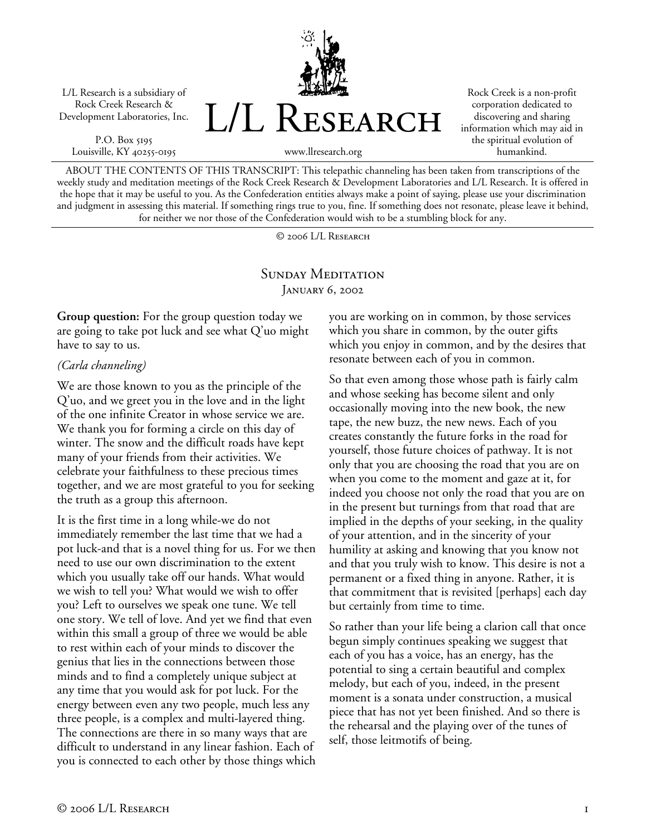L/L Research is a subsidiary of Rock Creek Research & Development Laboratories, Inc.

P.O. Box 5195 Louisville, KY 40255-0195



Rock Creek is a non-profit corporation dedicated to discovering and sharing information which may aid in the spiritual evolution of humankind.

www.llresearch.org

ABOUT THE CONTENTS OF THIS TRANSCRIPT: This telepathic channeling has been taken from transcriptions of the weekly study and meditation meetings of the Rock Creek Research & Development Laboratories and L/L Research. It is offered in the hope that it may be useful to you. As the Confederation entities always make a point of saying, please use your discrimination and judgment in assessing this material. If something rings true to you, fine. If something does not resonate, please leave it behind, for neither we nor those of the Confederation would wish to be a stumbling block for any.

© 2006 L/L Research

## SUNDAY MEDITATION January 6, 2002

**Group question:** For the group question today we are going to take pot luck and see what Q'uo might have to say to us.

## *(Carla channeling)*

We are those known to you as the principle of the Q'uo, and we greet you in the love and in the light of the one infinite Creator in whose service we are. We thank you for forming a circle on this day of winter. The snow and the difficult roads have kept many of your friends from their activities. We celebrate your faithfulness to these precious times together, and we are most grateful to you for seeking the truth as a group this afternoon.

It is the first time in a long while-we do not immediately remember the last time that we had a pot luck-and that is a novel thing for us. For we then need to use our own discrimination to the extent which you usually take off our hands. What would we wish to tell you? What would we wish to offer you? Left to ourselves we speak one tune. We tell one story. We tell of love. And yet we find that even within this small a group of three we would be able to rest within each of your minds to discover the genius that lies in the connections between those minds and to find a completely unique subject at any time that you would ask for pot luck. For the energy between even any two people, much less any three people, is a complex and multi-layered thing. The connections are there in so many ways that are difficult to understand in any linear fashion. Each of you is connected to each other by those things which

you are working on in common, by those services which you share in common, by the outer gifts which you enjoy in common, and by the desires that resonate between each of you in common.

So that even among those whose path is fairly calm and whose seeking has become silent and only occasionally moving into the new book, the new tape, the new buzz, the new news. Each of you creates constantly the future forks in the road for yourself, those future choices of pathway. It is not only that you are choosing the road that you are on when you come to the moment and gaze at it, for indeed you choose not only the road that you are on in the present but turnings from that road that are implied in the depths of your seeking, in the quality of your attention, and in the sincerity of your humility at asking and knowing that you know not and that you truly wish to know. This desire is not a permanent or a fixed thing in anyone. Rather, it is that commitment that is revisited [perhaps] each day but certainly from time to time.

So rather than your life being a clarion call that once begun simply continues speaking we suggest that each of you has a voice, has an energy, has the potential to sing a certain beautiful and complex melody, but each of you, indeed, in the present moment is a sonata under construction, a musical piece that has not yet been finished. And so there is the rehearsal and the playing over of the tunes of self, those leitmotifs of being.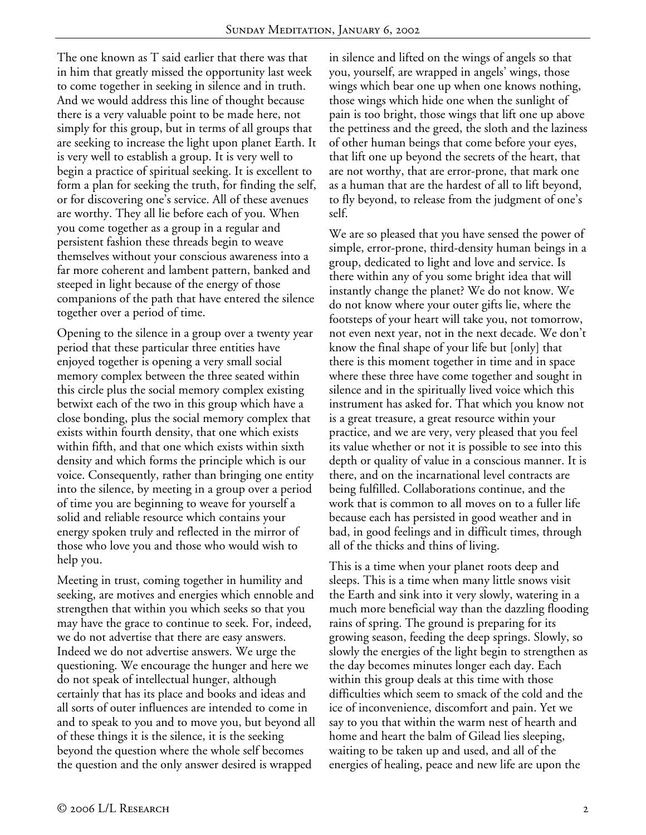The one known as T said earlier that there was that in him that greatly missed the opportunity last week to come together in seeking in silence and in truth. And we would address this line of thought because there is a very valuable point to be made here, not simply for this group, but in terms of all groups that are seeking to increase the light upon planet Earth. It is very well to establish a group. It is very well to begin a practice of spiritual seeking. It is excellent to form a plan for seeking the truth, for finding the self, or for discovering one's service. All of these avenues are worthy. They all lie before each of you. When you come together as a group in a regular and persistent fashion these threads begin to weave themselves without your conscious awareness into a far more coherent and lambent pattern, banked and steeped in light because of the energy of those companions of the path that have entered the silence together over a period of time.

Opening to the silence in a group over a twenty year period that these particular three entities have enjoyed together is opening a very small social memory complex between the three seated within this circle plus the social memory complex existing betwixt each of the two in this group which have a close bonding, plus the social memory complex that exists within fourth density, that one which exists within fifth, and that one which exists within sixth density and which forms the principle which is our voice. Consequently, rather than bringing one entity into the silence, by meeting in a group over a period of time you are beginning to weave for yourself a solid and reliable resource which contains your energy spoken truly and reflected in the mirror of those who love you and those who would wish to help you.

Meeting in trust, coming together in humility and seeking, are motives and energies which ennoble and strengthen that within you which seeks so that you may have the grace to continue to seek. For, indeed, we do not advertise that there are easy answers. Indeed we do not advertise answers. We urge the questioning. We encourage the hunger and here we do not speak of intellectual hunger, although certainly that has its place and books and ideas and all sorts of outer influences are intended to come in and to speak to you and to move you, but beyond all of these things it is the silence, it is the seeking beyond the question where the whole self becomes the question and the only answer desired is wrapped

in silence and lifted on the wings of angels so that you, yourself, are wrapped in angels' wings, those wings which bear one up when one knows nothing, those wings which hide one when the sunlight of pain is too bright, those wings that lift one up above the pettiness and the greed, the sloth and the laziness of other human beings that come before your eyes, that lift one up beyond the secrets of the heart, that are not worthy, that are error-prone, that mark one as a human that are the hardest of all to lift beyond, to fly beyond, to release from the judgment of one's self.

We are so pleased that you have sensed the power of simple, error-prone, third-density human beings in a group, dedicated to light and love and service. Is there within any of you some bright idea that will instantly change the planet? We do not know. We do not know where your outer gifts lie, where the footsteps of your heart will take you, not tomorrow, not even next year, not in the next decade. We don't know the final shape of your life but [only] that there is this moment together in time and in space where these three have come together and sought in silence and in the spiritually lived voice which this instrument has asked for. That which you know not is a great treasure, a great resource within your practice, and we are very, very pleased that you feel its value whether or not it is possible to see into this depth or quality of value in a conscious manner. It is there, and on the incarnational level contracts are being fulfilled. Collaborations continue, and the work that is common to all moves on to a fuller life because each has persisted in good weather and in bad, in good feelings and in difficult times, through all of the thicks and thins of living.

This is a time when your planet roots deep and sleeps. This is a time when many little snows visit the Earth and sink into it very slowly, watering in a much more beneficial way than the dazzling flooding rains of spring. The ground is preparing for its growing season, feeding the deep springs. Slowly, so slowly the energies of the light begin to strengthen as the day becomes minutes longer each day. Each within this group deals at this time with those difficulties which seem to smack of the cold and the ice of inconvenience, discomfort and pain. Yet we say to you that within the warm nest of hearth and home and heart the balm of Gilead lies sleeping, waiting to be taken up and used, and all of the energies of healing, peace and new life are upon the